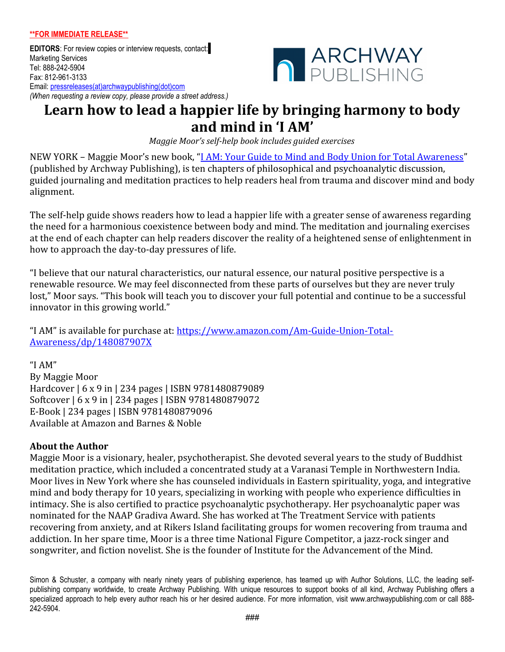**EDITORS**: For review copies or interview requests, contact: Marketing Services Tel: 888-242-5904 Fax: 812-961-3133 Email: [pressreleases\(at\)archwaypublishing\(dot\)com](mailto:pressreleases@abbottpress.com) *(When requesting a review copy, please provide a street address.)*



## **Learn how to lead a happier life by bringing harmony to body and mind in 'I AM'**

*Maggie Moor's self-help book includes guided exercises*

NEW YORK - Maggie Moor's new book, "<u>I AM: Your Guide to Mind and Body Union for Total Awareness</u>" (published by Archway Publishing), is ten chapters of philosophical and psychoanalytic discussion, guided journaling and meditation practices to help readers heal from trauma and discover mind and body alignment.

The self-help guide shows readers how to lead a happier life with a greater sense of awareness regarding the need for a harmonious coexistence between body and mind. The meditation and journaling exercises at the end of each chapter can help readers discover the reality of a heightened sense of enlightenment in how to approach the day-to-day pressures of life.

"I believe that our natural characteristics, our natural essence, our natural positive perspective is a renewable resource. We may feel disconnected from these parts of ourselves but they are never truly lost," Moor says. "This book will teach you to discover your full potential and continue to be a successful innovator in this growing world."

"I AM" is available for purchase at: [https://www.amazon.com/Am-Guide-Union-Total-](https://www.amazon.com/Am-Guide-Union-Total-Awareness/dp/148087907X)[Awareness/dp/148087907X](https://www.amazon.com/Am-Guide-Union-Total-Awareness/dp/148087907X)

"I AM" By Maggie Moor Hardcover | 6 x 9 in | 234 pages | ISBN 9781480879089 Softcover | 6 x 9 in | 234 pages | ISBN 9781480879072 E-Book | 234 pages | ISBN 9781480879096 Available at Amazon and Barnes & Noble

## **About the Author**

Maggie Moor is a visionary, healer, psychotherapist. She devoted several years to the study of Buddhist meditation practice, which included a concentrated study at a Varanasi Temple in Northwestern India. Moor lives in New York where she has counseled individuals in Eastern spirituality, yoga, and integrative mind and body therapy for 10 years, specializing in working with people who experience difficulties in intimacy. She is also certified to practice psychoanalytic psychotherapy. Her psychoanalytic paper was nominated for the NAAP Gradiva Award. She has worked at The Treatment Service with patients recovering from anxiety, and at Rikers Island facilitating groups for women recovering from trauma and addiction. In her spare time, Moor is a three time National Figure Competitor, a jazz-rock singer and songwriter, and fiction novelist. She is the founder of Institute for the Advancement of the Mind.

Simon & Schuster, a company with nearly ninety years of publishing experience, has teamed up with Author Solutions, LLC, the leading selfpublishing company worldwide, to create Archway Publishing. With unique resources to support books of all kind, Archway Publishing offers a specialized approach to help every author reach his or her desired audience. For more information, visit www.archwaypublishing.com or call 888- 242-5904.